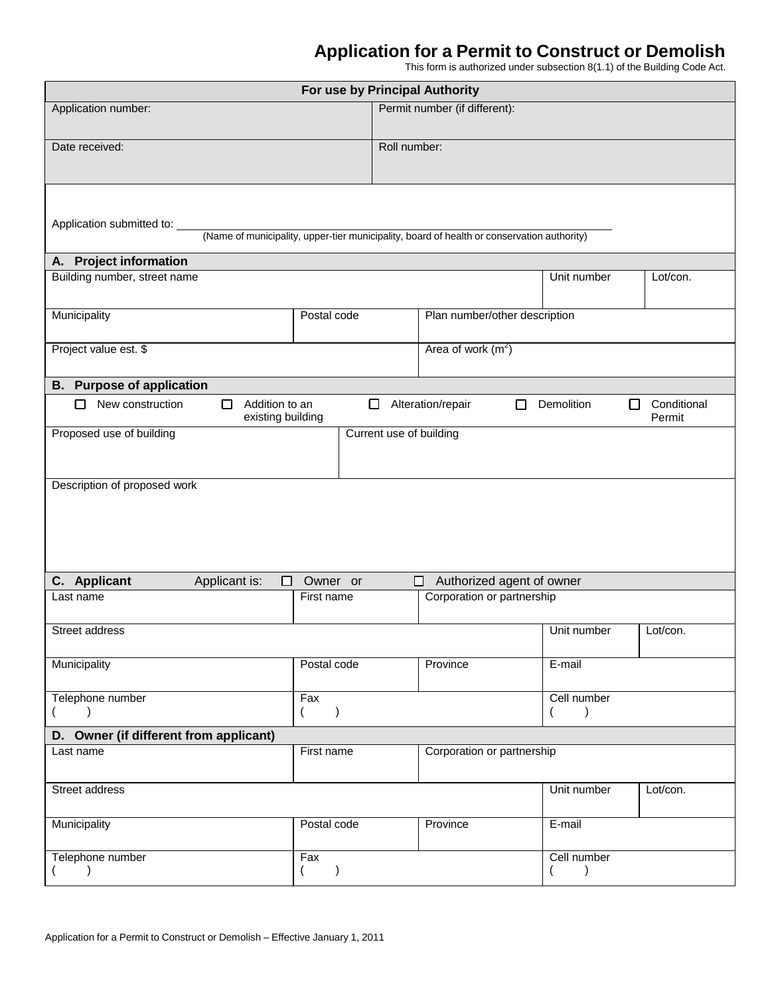## **Application for a Permit to Construct or Demolish**

This form is authorized under subsection 8(1.1) of the Building Code Act.

| For use by Principal Authority                               |                                                   |                                                                                            |                            |                             |  |  |
|--------------------------------------------------------------|---------------------------------------------------|--------------------------------------------------------------------------------------------|----------------------------|-----------------------------|--|--|
| Application number:                                          | Permit number (if different):                     |                                                                                            |                            |                             |  |  |
| Date received:                                               |                                                   | Roll number:                                                                               |                            |                             |  |  |
| Application submitted to:                                    |                                                   | (Name of municipality, upper-tier municipality, board of health or conservation authority) |                            |                             |  |  |
| A. Project information                                       |                                                   |                                                                                            |                            |                             |  |  |
| Building number, street name                                 |                                                   |                                                                                            | Unit number                | Lot/con.                    |  |  |
| Municipality<br>Postal code<br>Plan number/other description |                                                   |                                                                                            |                            |                             |  |  |
| Area of work $(m^2)$<br>Project value est. \$                |                                                   |                                                                                            |                            |                             |  |  |
| <b>B.</b> Purpose of application                             |                                                   |                                                                                            |                            |                             |  |  |
| New construction<br>□                                        | Addition to an<br>existing building               | Alteration/repair<br>П                                                                     | Demolition<br>П            | Conditional<br>LΙ<br>Permit |  |  |
| Proposed use of building<br>Current use of building          |                                                   |                                                                                            |                            |                             |  |  |
| Description of proposed work                                 |                                                   |                                                                                            |                            |                             |  |  |
| C. Applicant<br>Applicant is:                                | Owner or<br>□                                     | □                                                                                          | Authorized agent of owner  |                             |  |  |
| Last name                                                    | First name                                        |                                                                                            | Corporation or partnership |                             |  |  |
| Street address                                               |                                                   |                                                                                            | Unit number                | Lot/con.                    |  |  |
| Municipality                                                 | Postal code                                       | Province                                                                                   | E-mail                     |                             |  |  |
| Telephone number                                             | Fax<br>$\overline{\phantom{a}}$<br>$\overline{ }$ |                                                                                            | $\left($                   | Cell number                 |  |  |
| D. Owner (if different from applicant)                       |                                                   |                                                                                            |                            |                             |  |  |
| Last name                                                    | First name                                        |                                                                                            | Corporation or partnership |                             |  |  |
| Street address                                               |                                                   |                                                                                            | Unit number                | Lot/con.                    |  |  |
| Municipality                                                 | Postal code                                       | Province                                                                                   | E-mail                     |                             |  |  |
| Telephone number<br>$\lambda$                                | Fax<br>$\lambda$<br>$\overline{ }$                |                                                                                            | Cell number<br>$\lambda$   |                             |  |  |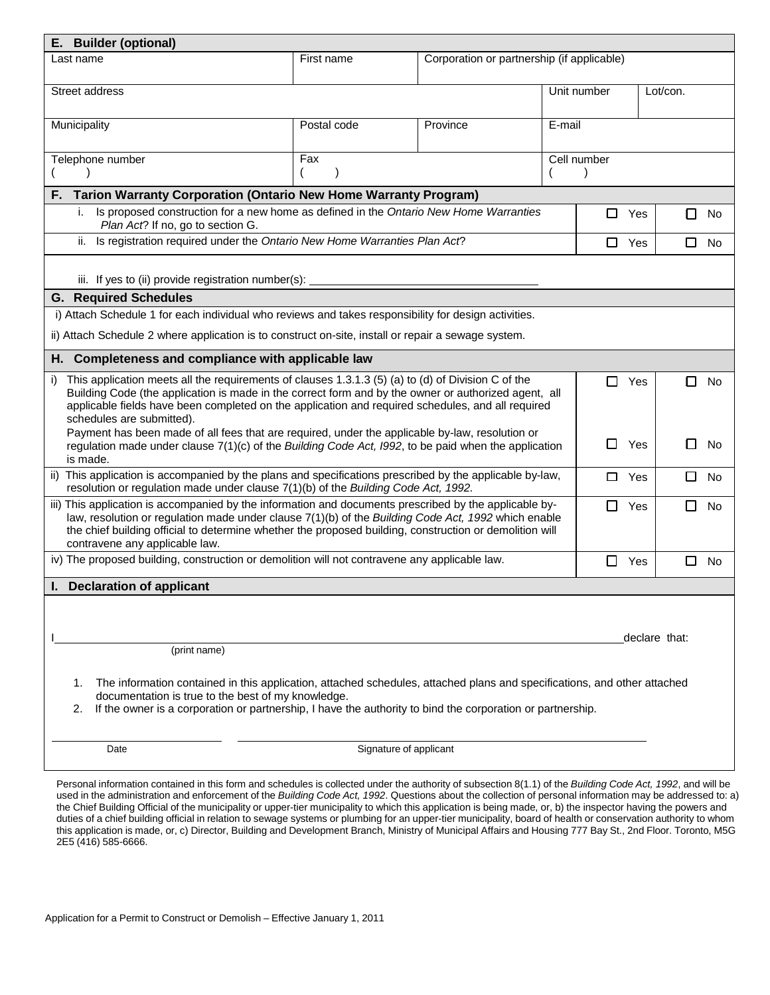| E. Builder (optional)                                                                                                                                                                                                                                                                                                                                                        |                        |                                            |             |               |                     |
|------------------------------------------------------------------------------------------------------------------------------------------------------------------------------------------------------------------------------------------------------------------------------------------------------------------------------------------------------------------------------|------------------------|--------------------------------------------|-------------|---------------|---------------------|
| Last name                                                                                                                                                                                                                                                                                                                                                                    | First name             | Corporation or partnership (if applicable) |             |               |                     |
| Street address                                                                                                                                                                                                                                                                                                                                                               |                        |                                            | Unit number |               | Lot/con.            |
| Municipality                                                                                                                                                                                                                                                                                                                                                                 | Postal code            | Province                                   | E-mail      |               |                     |
| Telephone number                                                                                                                                                                                                                                                                                                                                                             | Fax                    |                                            | Cell number |               |                     |
| <b>Tarion Warranty Corporation (Ontario New Home Warranty Program)</b><br>F.                                                                                                                                                                                                                                                                                                 |                        |                                            |             |               |                     |
| Is proposed construction for a new home as defined in the Ontario New Home Warranties<br>i.<br>Plan Act? If no, go to section G.                                                                                                                                                                                                                                             |                        |                                            | 0           | Yes           | □<br><b>No</b>      |
| Is registration required under the Ontario New Home Warranties Plan Act?<br>ii.                                                                                                                                                                                                                                                                                              |                        |                                            |             | $\Box$<br>Yes | □<br><b>No</b>      |
| iii. If yes to (ii) provide registration number(s):                                                                                                                                                                                                                                                                                                                          |                        |                                            |             |               |                     |
| <b>G.</b> Required Schedules                                                                                                                                                                                                                                                                                                                                                 |                        |                                            |             |               |                     |
| i) Attach Schedule 1 for each individual who reviews and takes responsibility for design activities.                                                                                                                                                                                                                                                                         |                        |                                            |             |               |                     |
| ii) Attach Schedule 2 where application is to construct on-site, install or repair a sewage system.                                                                                                                                                                                                                                                                          |                        |                                            |             |               |                     |
| H. Completeness and compliance with applicable law                                                                                                                                                                                                                                                                                                                           |                        |                                            |             |               |                     |
| This application meets all the requirements of clauses 1.3.1.3 (5) (a) to (d) of Division C of the<br>i)<br>Building Code (the application is made in the correct form and by the owner or authorized agent, all<br>applicable fields have been completed on the application and required schedules, and all required<br>schedules are submitted).                           |                        |                                            | □           | Yes           | <b>No</b><br>П      |
| Payment has been made of all fees that are required, under the applicable by-law, resolution or<br>regulation made under clause $7(1)(c)$ of the Building Code Act, 1992, to be paid when the application<br>is made.                                                                                                                                                        |                        |                                            | $\Box$      | Yes           | No                  |
| ii) This application is accompanied by the plans and specifications prescribed by the applicable by-law,<br>resolution or regulation made under clause 7(1)(b) of the Building Code Act, 1992.                                                                                                                                                                               |                        |                                            | □           | Yes           | Ш<br>No             |
| iii) This application is accompanied by the information and documents prescribed by the applicable by-<br>□<br>Yes<br>ΙI<br>law, resolution or regulation made under clause 7(1)(b) of the Building Code Act, 1992 which enable<br>the chief building official to determine whether the proposed building, construction or demolition will<br>contravene any applicable law. |                        |                                            |             |               | No                  |
| iv) The proposed building, construction or demolition will not contravene any applicable law.                                                                                                                                                                                                                                                                                |                        |                                            | □           | Yes           | $\Box$<br><b>No</b> |
| <b>Declaration of applicant</b>                                                                                                                                                                                                                                                                                                                                              |                        |                                            |             |               |                     |
|                                                                                                                                                                                                                                                                                                                                                                              |                        |                                            |             |               |                     |
|                                                                                                                                                                                                                                                                                                                                                                              |                        |                                            |             |               | declare that:       |
| (print name)                                                                                                                                                                                                                                                                                                                                                                 |                        |                                            |             |               |                     |
| The information contained in this application, attached schedules, attached plans and specifications, and other attached<br>1.<br>documentation is true to the best of my knowledge.<br>If the owner is a corporation or partnership, I have the authority to bind the corporation or partnership.<br>2.                                                                     |                        |                                            |             |               |                     |
|                                                                                                                                                                                                                                                                                                                                                                              |                        |                                            |             |               |                     |
| Date                                                                                                                                                                                                                                                                                                                                                                         | Signature of applicant |                                            |             |               |                     |

Personal information contained in this form and schedules is collected under the authority of subsection 8(1.1) of the *Building Code Act, 1992*, and will be used in the administration and enforcement of the *Building Code Act, 1992*. Questions about the collection of personal information may be addressed to: a) the Chief Building Official of the municipality or upper-tier municipality to which this application is being made, or, b) the inspector having the powers and duties of a chief building official in relation to sewage systems or plumbing for an upper-tier municipality, board of health or conservation authority to whom this application is made, or, c) Director, Building and Development Branch, Ministry of Municipal Affairs and Housing 777 Bay St., 2nd Floor. Toronto, M5G 2E5 (416) 585-6666.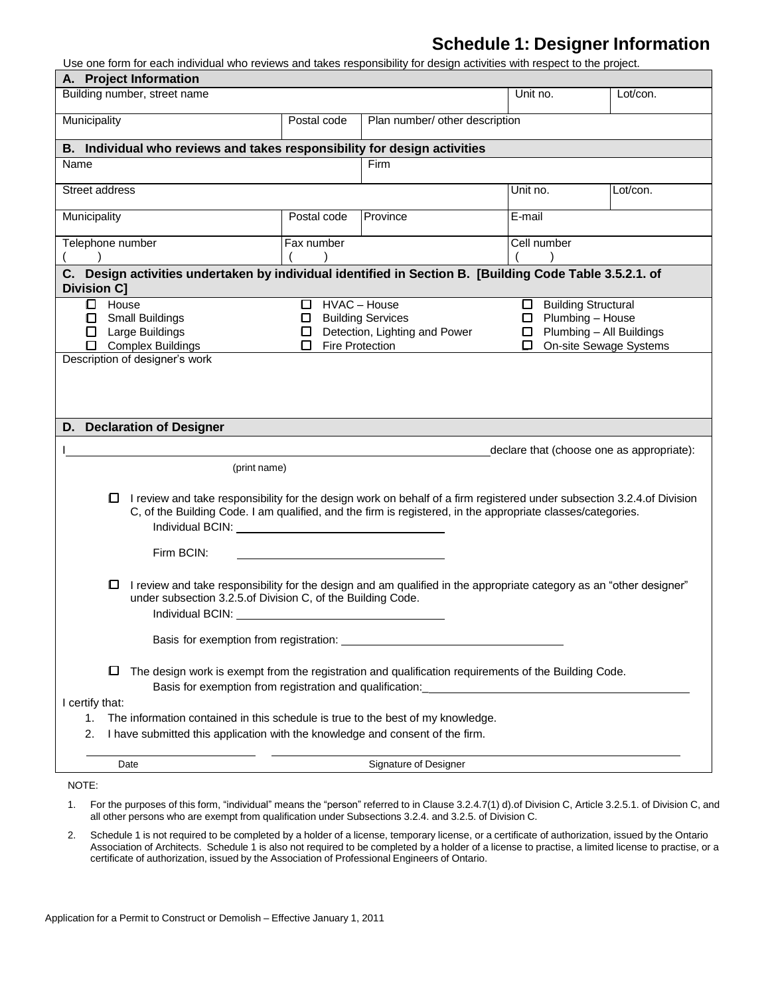## **Schedule 1: Designer Information**

Use one form for each individual who reviews and takes responsibility for design activities with respect to the project.

| A. Project Information                                                                                                                                                                                                                                                                                                                                                                                                                                                                                                                                                                                                                                                                                 |                                                                    |                                                                                  |                                                                                          |                                           |
|--------------------------------------------------------------------------------------------------------------------------------------------------------------------------------------------------------------------------------------------------------------------------------------------------------------------------------------------------------------------------------------------------------------------------------------------------------------------------------------------------------------------------------------------------------------------------------------------------------------------------------------------------------------------------------------------------------|--------------------------------------------------------------------|----------------------------------------------------------------------------------|------------------------------------------------------------------------------------------|-------------------------------------------|
| Building number, street name                                                                                                                                                                                                                                                                                                                                                                                                                                                                                                                                                                                                                                                                           |                                                                    |                                                                                  | Unit no.                                                                                 | Lot/con.                                  |
| Municipality                                                                                                                                                                                                                                                                                                                                                                                                                                                                                                                                                                                                                                                                                           | Postal code                                                        | Plan number/ other description                                                   |                                                                                          |                                           |
| B. Individual who reviews and takes responsibility for design activities                                                                                                                                                                                                                                                                                                                                                                                                                                                                                                                                                                                                                               |                                                                    |                                                                                  |                                                                                          |                                           |
| Name                                                                                                                                                                                                                                                                                                                                                                                                                                                                                                                                                                                                                                                                                                   |                                                                    | Firm                                                                             |                                                                                          |                                           |
| Street address                                                                                                                                                                                                                                                                                                                                                                                                                                                                                                                                                                                                                                                                                         |                                                                    |                                                                                  | Unit no.                                                                                 | Lot/con.                                  |
| Municipality                                                                                                                                                                                                                                                                                                                                                                                                                                                                                                                                                                                                                                                                                           | Postal code                                                        | Province                                                                         | E-mail                                                                                   |                                           |
| Telephone number                                                                                                                                                                                                                                                                                                                                                                                                                                                                                                                                                                                                                                                                                       | Fax number                                                         | Cell number                                                                      |                                                                                          |                                           |
| C. Design activities undertaken by individual identified in Section B. [Building Code Table 3.5.2.1. of<br><b>Division C]</b>                                                                                                                                                                                                                                                                                                                                                                                                                                                                                                                                                                          |                                                                    |                                                                                  |                                                                                          |                                           |
| $\Box$ House<br><b>Small Buildings</b><br>0<br>Large Buildings<br>0<br><b>Complex Buildings</b><br>П<br>Description of designer's work                                                                                                                                                                                                                                                                                                                                                                                                                                                                                                                                                                 | $\Box$ HVAC - House<br>□ Building Services<br>Fire Protection<br>п | Detection, Lighting and Power                                                    | □ Building Structural<br>$\Box$ Plumbing - House<br>$\Box$ Plumbing - All Buildings<br>0 | On-site Sewage Systems                    |
| D. Declaration of Designer<br>(print name)                                                                                                                                                                                                                                                                                                                                                                                                                                                                                                                                                                                                                                                             |                                                                    |                                                                                  |                                                                                          | declare that (choose one as appropriate): |
| □ I review and take responsibility for the design work on behalf of a firm registered under subsection 3.2.4.of Division<br>C, of the Building Code. I am qualified, and the firm is registered, in the appropriate classes/categories.<br>Individual BCIN: New York Changes and Changes and Changes and Changes and Changes and Changes and Changes and Changes and Changes and Changes and Changes and Changes and Changes and Changes and Changes and Changes and Chan<br>Firm BCIN:<br>I review and take responsibility for the design and am qualified in the appropriate category as an "other designer"<br>0<br>under subsection 3.2.5.of Division C, of the Building Code.<br>Individual BCIN: |                                                                    |                                                                                  |                                                                                          |                                           |
|                                                                                                                                                                                                                                                                                                                                                                                                                                                                                                                                                                                                                                                                                                        |                                                                    |                                                                                  |                                                                                          |                                           |
| О<br>The design work is exempt from the registration and qualification requirements of the Building Code.                                                                                                                                                                                                                                                                                                                                                                                                                                                                                                                                                                                              |                                                                    | Basis for exemption from registration and qualification: _______________________ |                                                                                          |                                           |
| I certify that:<br>The information contained in this schedule is true to the best of my knowledge.<br>1.<br>I have submitted this application with the knowledge and consent of the firm.<br>2.                                                                                                                                                                                                                                                                                                                                                                                                                                                                                                        |                                                                    |                                                                                  |                                                                                          |                                           |
| Date                                                                                                                                                                                                                                                                                                                                                                                                                                                                                                                                                                                                                                                                                                   |                                                                    | Signature of Designer                                                            |                                                                                          |                                           |
| NOTE:                                                                                                                                                                                                                                                                                                                                                                                                                                                                                                                                                                                                                                                                                                  |                                                                    |                                                                                  |                                                                                          |                                           |

- 1. For the purposes of this form, "individual" means the "person" referred to in Clause 3.2.4.7(1) d).of Division C, Article 3.2.5.1. of Division C, and all other persons who are exempt from qualification under Subsections 3.2.4. and 3.2.5. of Division C.
- 2. Schedule 1 is not required to be completed by a holder of a license, temporary license, or a certificate of authorization, issued by the Ontario Association of Architects. Schedule 1 is also not required to be completed by a holder of a license to practise, a limited license to practise, or a certificate of authorization, issued by the Association of Professional Engineers of Ontario.